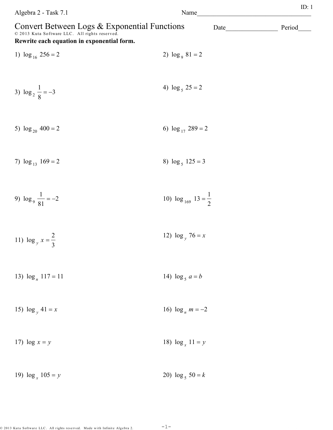| Algebra 2 - Task 7.1                                                                                                                         | Name                              | ID: 1  |
|----------------------------------------------------------------------------------------------------------------------------------------------|-----------------------------------|--------|
| Convert Between Logs & Exponential Functions<br>© 2013 Kuta Software LLC. All rights reserved.<br>Rewrite each equation in exponential form. | Date                              | Period |
| 1) $\log_{16} 256 = 2$                                                                                                                       | 2) $\log_9 81 = 2$                |        |
| 3) $\log_2 \frac{1}{8} = -3$                                                                                                                 | 4) $\log_5 25 = 2$                |        |
| 5) $\log_{20} 400 = 2$                                                                                                                       | 6) $\log_{17} 289 = 2$            |        |
| 7) $\log_{13} 169 = 2$                                                                                                                       | 8) $\log_5 125 = 3$               |        |
| 9) $\log_9 \frac{1}{81} = -2$                                                                                                                | 10) $\log_{169} 13 = \frac{1}{2}$ |        |
| 11) $\log_y x = \frac{2}{3}$                                                                                                                 | 12) $\log_y 76 = x$               |        |
| 13) $\log_n 117 = 11$                                                                                                                        | 14) $\log_5 a = b$                |        |
| 15) $\log_y 41 = x$                                                                                                                          | 16) $\log_n m = -2$               |        |
| 17) $\log x = y$                                                                                                                             | 18) $\log_x 11 = y$               |        |
| 19) $\log_x 105 = y$                                                                                                                         | 20) $\log_5 50 = k$               |        |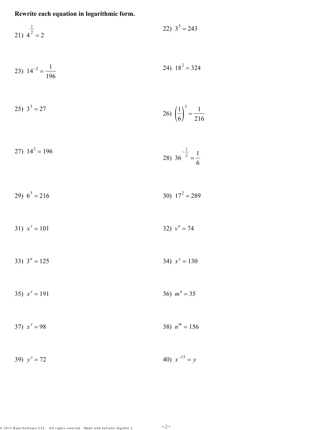$$
22) \t35 = 243
$$

$$
23) \t14^{-2} = \frac{1}{196} \t24) \t18^{2} = 324
$$

$$
25) \ 3^3 = 27 \qquad \qquad 26) \ \left(\frac{1}{6}\right)^3 = \frac{1}{216}
$$

$$
27) \ 14^2 = 196 \qquad \qquad 28) \ 36^{-\frac{1}{2}} = \frac{1}{6}
$$

$$
29) 63 = 216
$$
 30)  $172 = 289$ 

31) 
$$
x^y = 101
$$
 32)  $v^u = 74$ 

33) 
$$
3^n = 125
$$
 34)  $x^y = 130$ 

$$
35) \t xy = 191 \t 36) \t mn = 35
$$

$$
37) \t xy = 98 \t 38) \t nm = 156
$$

39) 
$$
y^x = 72
$$
 40)  $x^{-13} = y$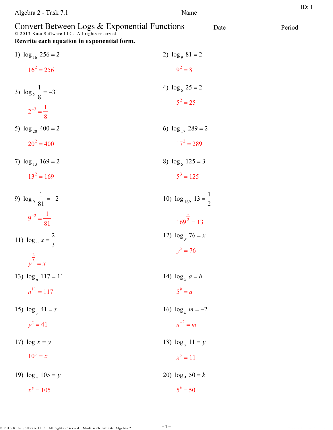| Convert Between Logs & Exponential Functions<br>© 2013 Kuta Software LLC. All rights reserved.<br>Rewrite each equation in exponential form. |                                   | Date | Period |
|----------------------------------------------------------------------------------------------------------------------------------------------|-----------------------------------|------|--------|
| 1) $\log_{16} 256 = 2$                                                                                                                       | 2) $\log_9 81 = 2$                |      |        |
| $16^2 = 256$                                                                                                                                 | $9^2 = 81$                        |      |        |
| 3) $\log_2 \frac{1}{8} = -3$<br>$2^{-3} = \frac{1}{8}$                                                                                       | 4) $\log_5 25 = 2$<br>$5^2 = 25$  |      |        |
| 5) $\log_{20} 400 = 2$                                                                                                                       | 6) $\log_{17} 289 = 2$            |      |        |
| $20^2 = 400$                                                                                                                                 | $17^2 = 289$                      |      |        |
| 7) $\log_{13} 169 = 2$                                                                                                                       | 8) $\log_5 125 = 3$               |      |        |
| $13^2 = 169$                                                                                                                                 | $5^3 = 125$                       |      |        |
| 9) $\log_9 \frac{1}{81} = -2$                                                                                                                | 10) $\log_{169} 13 = \frac{1}{2}$ |      |        |
| $9^{-2} = \frac{1}{81}$                                                                                                                      | $\frac{1}{169^2}$ = 13            |      |        |
| 11) $\log_y x = \frac{2}{3}$                                                                                                                 | 12) $\log_y 76 = x$               |      |        |
| $\frac{2}{y^3} = x$                                                                                                                          | $v^x = 76$                        |      |        |
| 13) $\log_n 117 = 11$                                                                                                                        | 14) $\log_5 a = b$                |      |        |
| $n^{11} = 117$                                                                                                                               | $5^b = a$                         |      |        |
| 15) $\log_{v} 41 = x$                                                                                                                        | 16) $\log_n m = -2$               |      |        |
| $y^x = 41$                                                                                                                                   | $n^{-2} = m$                      |      |        |
| 17) $\log x = y$                                                                                                                             | 18) $\log_x 11 = y$               |      |        |
| $10^y = x$                                                                                                                                   | $x^y = 11$                        |      |        |
| 19) $\log_x 105 = y$                                                                                                                         | 20) $\log_5 50 = k$               |      |        |
| $x^y = 105$                                                                                                                                  | $5^k = 50$                        |      |        |

Algebra  $2$  - Task  $7.1\,$ 

ID:  $1$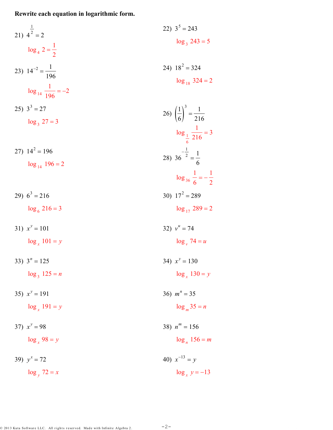21) 
$$
4^{\frac{1}{2}} = 2
$$
  
\n $log_4 2 = \frac{1}{2}$   
\n23)  $14^{-2} = \frac{1}{196}$   
\n24)  $18^2 = 324$   
\n $log_{18} 324 = 2$   
\n $log_{18} 324 = 2$   
\n25)  $3^3 = 27$   
\n $log_3 27 = 3$   
\n26)  $(\frac{1}{6})^3 = \frac{1}{216}$   
\n $log_{\frac{1}{6}} \frac{1}{216} = 3$   
\n27)  $14^2 = 196$   
\n $log_{14} 196 = 2$   
\n29)  $6^3 = 216$   
\n $log_6 216 = 3$   
\n31)  $x^y = 101$   
\n $log_x 101 = y$   
\n32)  $v^u = 74$   
\n $log_y 74 = u$   
\n33)  $3^u = 125$   
\n $log_x 191 = y$   
\n34)  $x^y = 130$   
\n $log_x 130 = y$   
\n35)  $x^y = 98$   
\n36)  $m^n = 35$   
\n $log_y 72 = x$   
\n37)  $x^y = 72$   
\n38)  $n^m = 156$   
\n $log_y 72 = x$   
\n39)  $y^x = -72$   
\n40)  $x^{-13} = y$   
\n $log_x y = -13$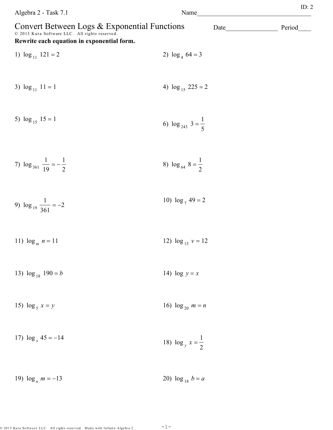| Algebra 2 - Task 7.1                                                                                                                         | Name                            |      | ID: 2  |
|----------------------------------------------------------------------------------------------------------------------------------------------|---------------------------------|------|--------|
| Convert Between Logs & Exponential Functions<br>© 2013 Kuta Software LLC. All rights reserved.<br>Rewrite each equation in exponential form. |                                 | Date | Period |
| 1) $\log_{11} 121 = 2$                                                                                                                       | 2) $\log_4 64 = 3$              |      |        |
| 3) $\log_{11} 11 = 1$                                                                                                                        | 4) $\log_{15} 225 = 2$          |      |        |
| 5) $\log_{15} 15 = 1$                                                                                                                        | 6) $\log_{243} 3 = \frac{1}{5}$ |      |        |
| 7) $\log_{361} \frac{1}{19} = -\frac{1}{2}$                                                                                                  | 8) $\log_{64} 8 = \frac{1}{2}$  |      |        |
| 9) $\log_{19} \frac{1}{361} = -2$                                                                                                            | 10) $\log_7 49 = 2$             |      |        |
| 11) $\log_m n = 11$                                                                                                                          | 12) $\log_{15} v = 12$          |      |        |
| 13) $\log_{18} 190 = b$                                                                                                                      | 14) $\log y = x$                |      |        |
| 15) $\log_5 x = y$                                                                                                                           | 16) $\log_{20} m = n$           |      |        |
| 17) $\log_x 45 = -14$                                                                                                                        | 18) $\log_y x = \frac{1}{2}$    |      |        |
| 19) $\log_n m = -13$                                                                                                                         | 20) $\log_{18} b = a$           |      |        |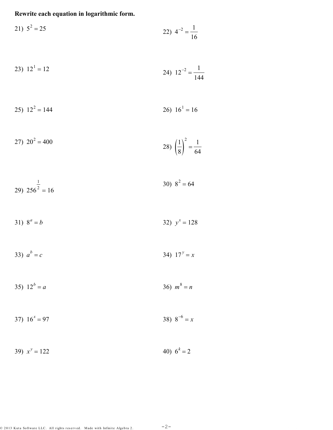$$
21) \t52 = 25
$$
\n
$$
22) \t4-2 = \frac{1}{16}
$$

$$
23) \ 12^1 = 12 \qquad \qquad 24) \ 12^{-2} = \frac{1}{144}
$$

$$
25) \t12^2 = 144 \t26) \t16^1 = 16
$$

$$
27) \ 20^2 = 400 \qquad \qquad 28) \ \left(\frac{1}{8}\right)^2 = \frac{1}{64}
$$

$$
29) \quad 256^{\frac{1}{2}} = 16 \tag{30} \quad 8^2 = 64
$$

31) 
$$
8^a = b
$$
 32)  $y^x = 128$ 

33) 
$$
a^b = c
$$
 34)  $17^y = x$ 

35) 
$$
12^b = a
$$
 36)  $m^8 = n$ 

37) 
$$
16^x = 97
$$
 38)  $8^{-6} = x$ 

$$
39) \ \ x^y = 122 \tag{40} \ \ 6^k = 2
$$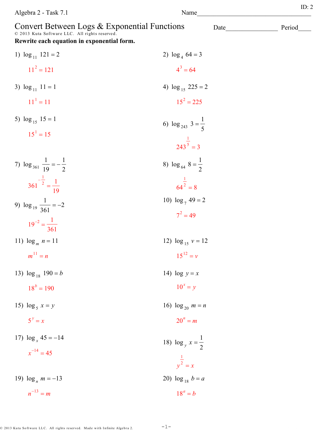| $=$ m<br>n |                                                                              |  |  |  |  |  |  |
|------------|------------------------------------------------------------------------------|--|--|--|--|--|--|
|            |                                                                              |  |  |  |  |  |  |
|            | © 2013 Kuta Software LLC. All rights reserved. Made with Infinite Algebra 2. |  |  |  |  |  |  |
|            |                                                                              |  |  |  |  |  |  |
|            |                                                                              |  |  |  |  |  |  |

| 1) $\log_{11} 121 = 2$                      | 2) $\log_4 64 = 3$              |
|---------------------------------------------|---------------------------------|
| $11^2 = 121$                                | $4^3 = 64$                      |
| 3) $\log_{11} 11 = 1$                       | 4) $\log_{15} 225 = 2$          |
| $11^1 = 11$                                 | $15^2 = 225$                    |
| 5) $\log_{15} 15 = 1$                       | 6) $\log_{243} 3 = \frac{1}{5}$ |
| $15^1 = 15$                                 | $\frac{1}{243^5}$ = 3           |
| 7) $\log_{361} \frac{1}{19} = -\frac{1}{2}$ | 8) $\log_{64} 8 = \frac{1}{2}$  |
| $361^{-\frac{1}{2}} = \frac{1}{10}$         | $rac{1}{64^2}$ = 8              |
| 9) $\log_{19} \frac{1}{361} = -2$           | 10) $\log_7 49 = 2$             |
| $19^{-2} = \frac{1}{361}$                   | $7^2 = 49$                      |
| 11) $\log_m n = 11$                         | 12) $\log_{15} v = 12$          |
| $m^{11} = n$                                | $15^{12} = v$                   |
| 13) $\log_{18} 190 = b$                     | 14) $\log y = x$                |
| $18^b = 190$                                | $10^x = y$                      |
| 15) $\log_5 x = y$                          | 16) $\log_{20} m = n$           |
| $5^y = x$                                   | $20^n = m$                      |
| 17) $\log_x 45 = -14$                       | 18) $\log_y x = \frac{1}{2}$    |
| $x^{-14} = 45$                              | $\frac{1}{v^2} = x$             |
| 19) $\log_n m = -13$                        | 20) $\log_{18} b = a$           |
| $n^{-13} = m$                               | $18^a = b$                      |

Convert Between Logs & Exponential Functions<br>  $^{\circ}$  2013 Kuta Software LLC. All rights reserved.

Rewrite each equation in exponential form.

 $-1-$